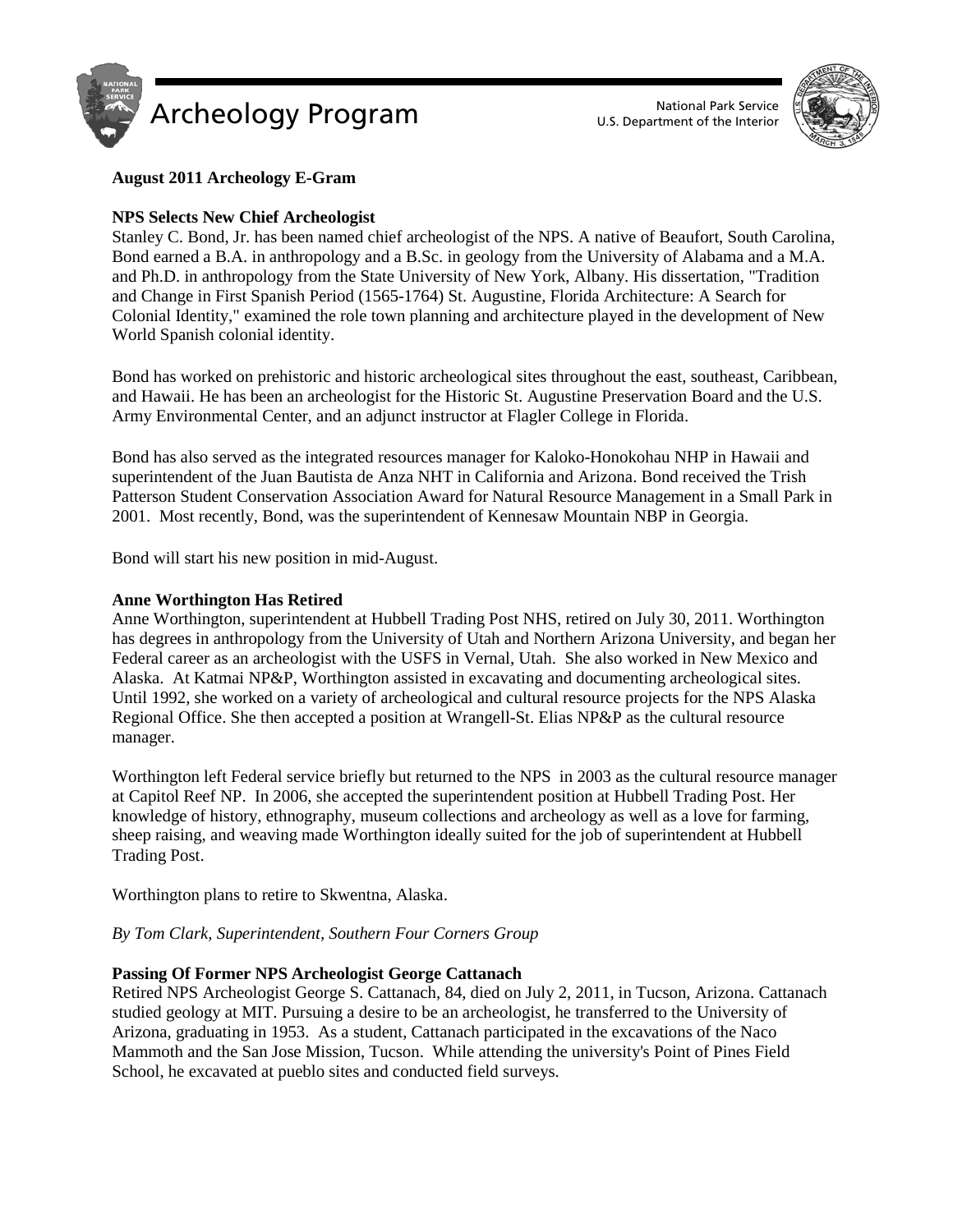



# **August 2011 Archeology E-Gram**

# **NPS Selects New Chief Archeologist**

Stanley C. Bond, Jr. has been named chief archeologist of the NPS. A native of Beaufort, South Carolina, Bond earned a B.A. in anthropology and a B.Sc. in geology from the University of Alabama and a M.A. and Ph.D. in anthropology from the State University of New York, Albany. His dissertation, "Tradition and Change in First Spanish Period (1565-1764) St. Augustine, Florida Architecture: A Search for Colonial Identity," examined the role town planning and architecture played in the development of New World Spanish colonial identity.

Bond has worked on prehistoric and historic archeological sites throughout the east, southeast, Caribbean, and Hawaii. He has been an archeologist for the Historic St. Augustine Preservation Board and the U.S. Army Environmental Center, and an adjunct instructor at Flagler College in Florida.

Bond has also served as the integrated resources manager for Kaloko-Honokohau NHP in Hawaii and superintendent of the Juan Bautista de Anza NHT in California and Arizona. Bond received the Trish Patterson Student Conservation Association Award for Natural Resource Management in a Small Park in 2001. Most recently, Bond, was the superintendent of Kennesaw Mountain NBP in Georgia.

Bond will start his new position in mid-August.

### **Anne Worthington Has Retired**

Anne Worthington, superintendent at Hubbell Trading Post NHS, retired on July 30, 2011. Worthington has degrees in anthropology from the University of Utah and Northern Arizona University, and began her Federal career as an archeologist with the USFS in Vernal, Utah. She also worked in New Mexico and Alaska. At Katmai NP&P, Worthington assisted in excavating and documenting archeological sites. Until 1992, she worked on a variety of archeological and cultural resource projects for the NPS Alaska Regional Office. She then accepted a position at Wrangell-St. Elias NP&P as the cultural resource manager.

Worthington left Federal service briefly but returned to the NPS in 2003 as the cultural resource manager at Capitol Reef NP. In 2006, she accepted the superintendent position at Hubbell Trading Post. Her knowledge of history, ethnography, museum collections and archeology as well as a love for farming, sheep raising, and weaving made Worthington ideally suited for the job of superintendent at Hubbell Trading Post.

Worthington plans to retire to Skwentna, Alaska.

### *By Tom Clark, Superintendent, Southern Four Corners Group*

### **Passing Of Former NPS Archeologist George Cattanach**

Retired NPS Archeologist George S. Cattanach, 84, died on July 2, 2011, in Tucson, Arizona. Cattanach studied geology at MIT. Pursuing a desire to be an archeologist, he transferred to the University of Arizona, graduating in 1953. As a student, Cattanach participated in the excavations of the Naco Mammoth and the San Jose Mission, Tucson. While attending the university's Point of Pines Field School, he excavated at pueblo sites and conducted field surveys.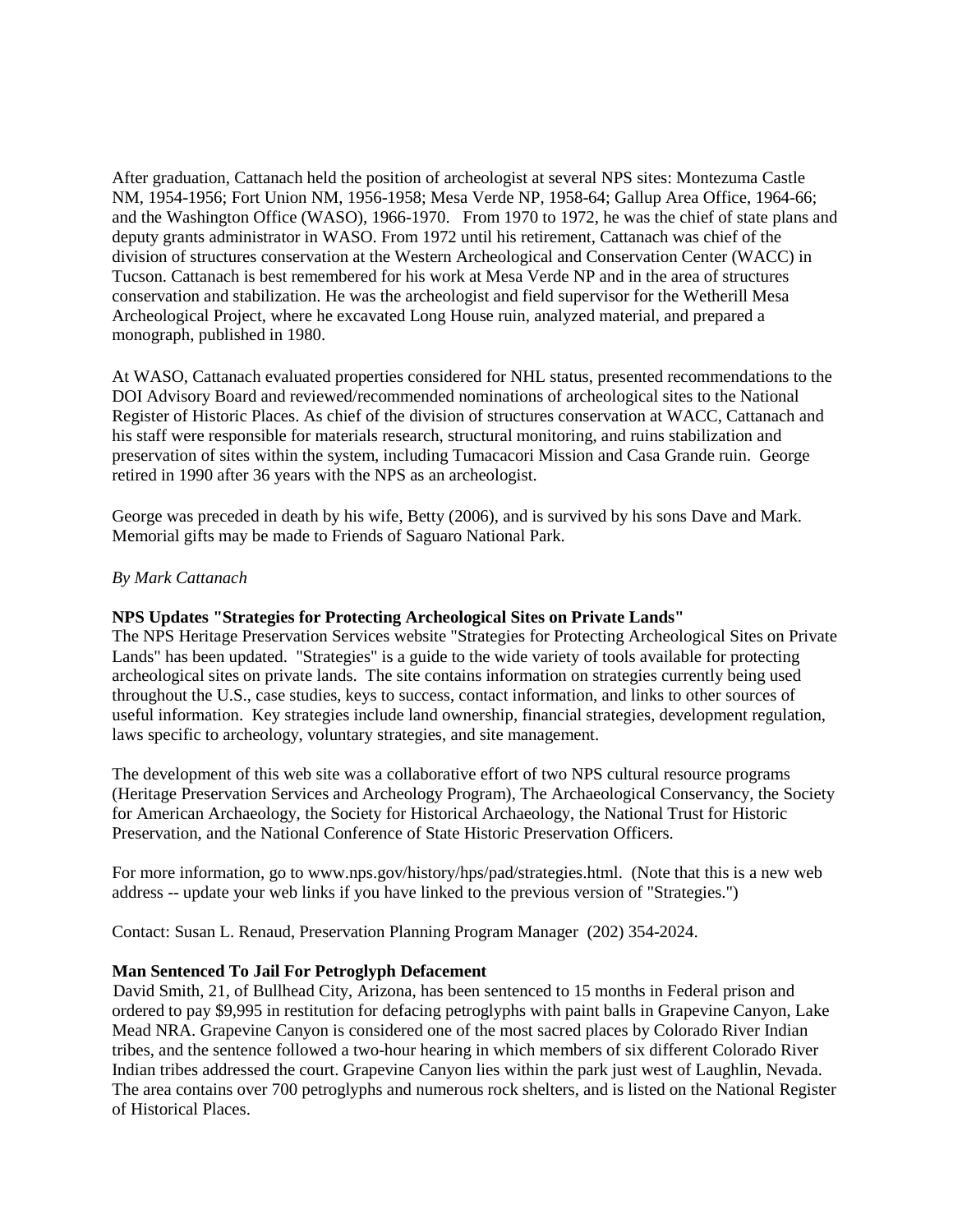After graduation, Cattanach held the position of archeologist at several NPS sites: Montezuma Castle NM, 1954-1956; Fort Union NM, 1956-1958; Mesa Verde NP, 1958-64; Gallup Area Office, 1964-66; and the Washington Office (WASO), 1966-1970. From 1970 to 1972, he was the chief of state plans and deputy grants administrator in WASO. From 1972 until his retirement, Cattanach was chief of the division of structures conservation at the Western Archeological and Conservation Center (WACC) in Tucson. Cattanach is best remembered for his work at Mesa Verde NP and in the area of structures conservation and stabilization. He was the archeologist and field supervisor for the Wetherill Mesa Archeological Project, where he excavated Long House ruin, analyzed material, and prepared a monograph, published in 1980.

At WASO, Cattanach evaluated properties considered for NHL status, presented recommendations to the DOI Advisory Board and reviewed/recommended nominations of archeological sites to the National Register of Historic Places. As chief of the division of structures conservation at WACC, Cattanach and his staff were responsible for materials research, structural monitoring, and ruins stabilization and preservation of sites within the system, including Tumacacori Mission and Casa Grande ruin. George retired in 1990 after 36 years with the NPS as an archeologist.

George was preceded in death by his wife, Betty (2006), and is survived by his sons Dave and Mark. Memorial gifts may be made to Friends of Saguaro National Park.

### *By Mark Cattanach*

### **NPS Updates "Strategies for Protecting Archeological Sites on Private Lands"**

The NPS Heritage Preservation Services website "Strategies for Protecting Archeological Sites on Private Lands" has been updated. "Strategies" is a guide to the wide variety of tools available for protecting archeological sites on private lands. The site contains information on strategies currently being used throughout the U.S., case studies, keys to success, contact information, and links to other sources of useful information. Key strategies include land ownership, financial strategies, development regulation, laws specific to archeology, voluntary strategies, and site management.

The development of this web site was a collaborative effort of two NPS cultural resource programs (Heritage Preservation Services and Archeology Program), The Archaeological Conservancy, the Society for American Archaeology, the Society for Historical Archaeology, the National Trust for Historic Preservation, and the National Conference of State Historic Preservation Officers.

For more information, go to www.nps.gov/history/hps/pad/strategies.html. (Note that this is a new web address -- update your web links if you have linked to the previous version of "Strategies.")

Contact: Susan L. Renaud, Preservation Planning Program Manager (202) 354-2024.

#### **Man Sentenced To Jail For Petroglyph Defacement**

David Smith, 21, of Bullhead City, Arizona, has been sentenced to 15 months in Federal prison and ordered to pay \$9,995 in restitution for defacing petroglyphs with paint balls in Grapevine Canyon, Lake Mead NRA. Grapevine Canyon is considered one of the most sacred places by Colorado River Indian tribes, and the sentence followed a two-hour hearing in which members of six different Colorado River Indian tribes addressed the court. Grapevine Canyon lies within the park just west of Laughlin, Nevada. The area contains over 700 petroglyphs and numerous rock shelters, and is listed on the National Register of Historical Places.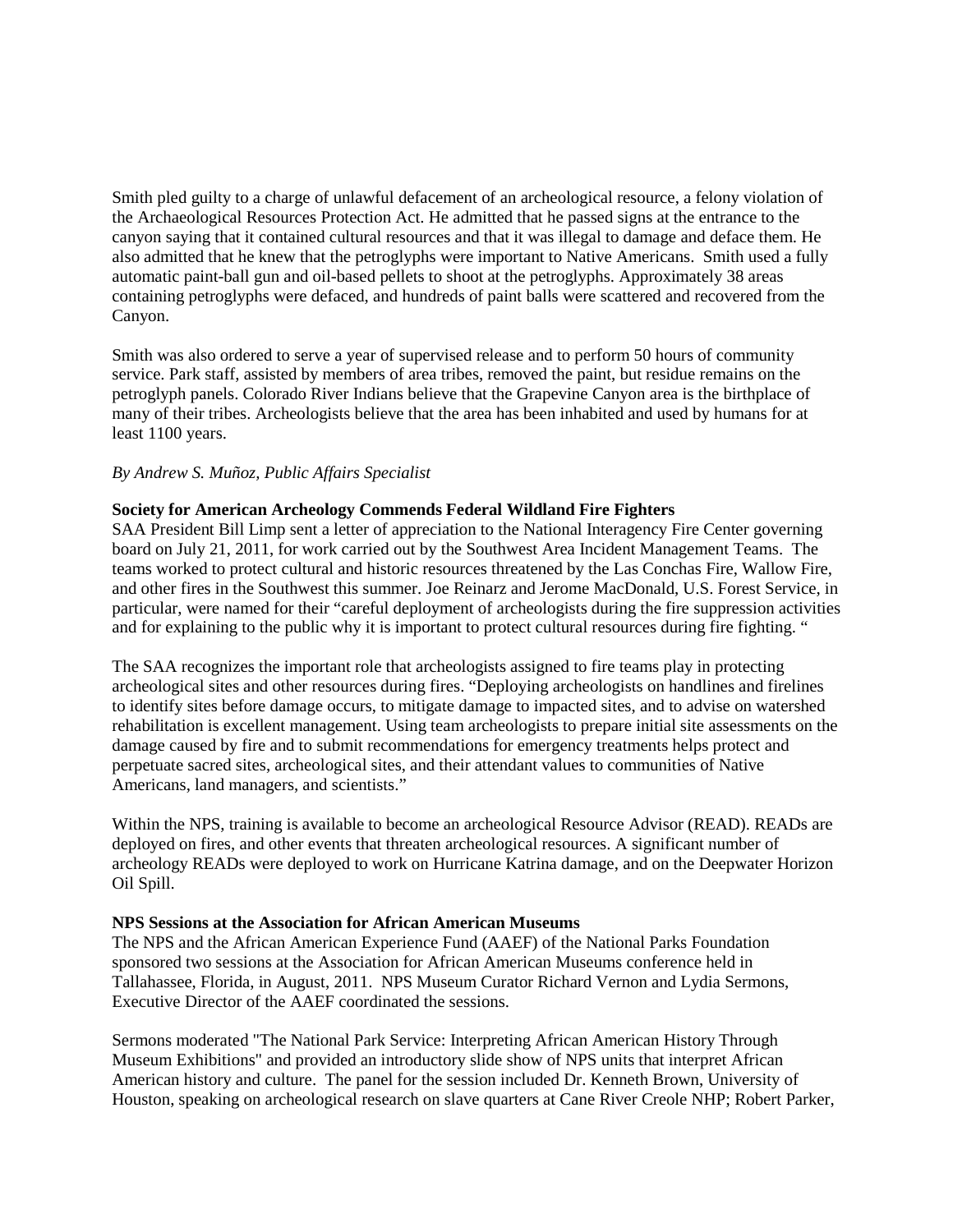Smith pled guilty to a charge of unlawful defacement of an archeological resource, a felony violation of the Archaeological Resources Protection Act. He admitted that he passed signs at the entrance to the canyon saying that it contained cultural resources and that it was illegal to damage and deface them. He also admitted that he knew that the petroglyphs were important to Native Americans. Smith used a fully automatic paint-ball gun and oil-based pellets to shoot at the petroglyphs. Approximately 38 areas containing petroglyphs were defaced, and hundreds of paint balls were scattered and recovered from the Canyon.

Smith was also ordered to serve a year of supervised release and to perform 50 hours of community service. Park staff, assisted by members of area tribes, removed the paint, but residue remains on the petroglyph panels. Colorado River Indians believe that the Grapevine Canyon area is the birthplace of many of their tribes. Archeologists believe that the area has been inhabited and used by humans for at least 1100 years.

### *By Andrew S. Muñoz, Public Affairs Specialist*

# **Society for American Archeology Commends Federal Wildland Fire Fighters**

SAA President Bill Limp sent a letter of appreciation to the National Interagency Fire Center governing board on July 21, 2011, for work carried out by the Southwest Area Incident Management Teams. The teams worked to protect cultural and historic resources threatened by the Las Conchas Fire, Wallow Fire, and other fires in the Southwest this summer. Joe Reinarz and Jerome MacDonald, U.S. Forest Service, in particular, were named for their "careful deployment of archeologists during the fire suppression activities and for explaining to the public why it is important to protect cultural resources during fire fighting. "

The SAA recognizes the important role that archeologists assigned to fire teams play in protecting archeological sites and other resources during fires. "Deploying archeologists on handlines and firelines to identify sites before damage occurs, to mitigate damage to impacted sites, and to advise on watershed rehabilitation is excellent management. Using team archeologists to prepare initial site assessments on the damage caused by fire and to submit recommendations for emergency treatments helps protect and perpetuate sacred sites, archeological sites, and their attendant values to communities of Native Americans, land managers, and scientists."

Within the NPS, training is available to become an archeological Resource Advisor (READ). READs are deployed on fires, and other events that threaten archeological resources. A significant number of archeology READs were deployed to work on Hurricane Katrina damage, and on the Deepwater Horizon Oil Spill.

### **NPS Sessions at the Association for African American Museums**

The NPS and the African American Experience Fund (AAEF) of the National Parks Foundation sponsored two sessions at the Association for African American Museums conference held in Tallahassee, Florida, in August, 2011. NPS Museum Curator Richard Vernon and Lydia Sermons, Executive Director of the AAEF coordinated the sessions.

Sermons moderated "The National Park Service: Interpreting African American History Through Museum Exhibitions" and provided an introductory slide show of NPS units that interpret African American history and culture. The panel for the session included Dr. Kenneth Brown, University of Houston, speaking on archeological research on slave quarters at Cane River Creole NHP; Robert Parker,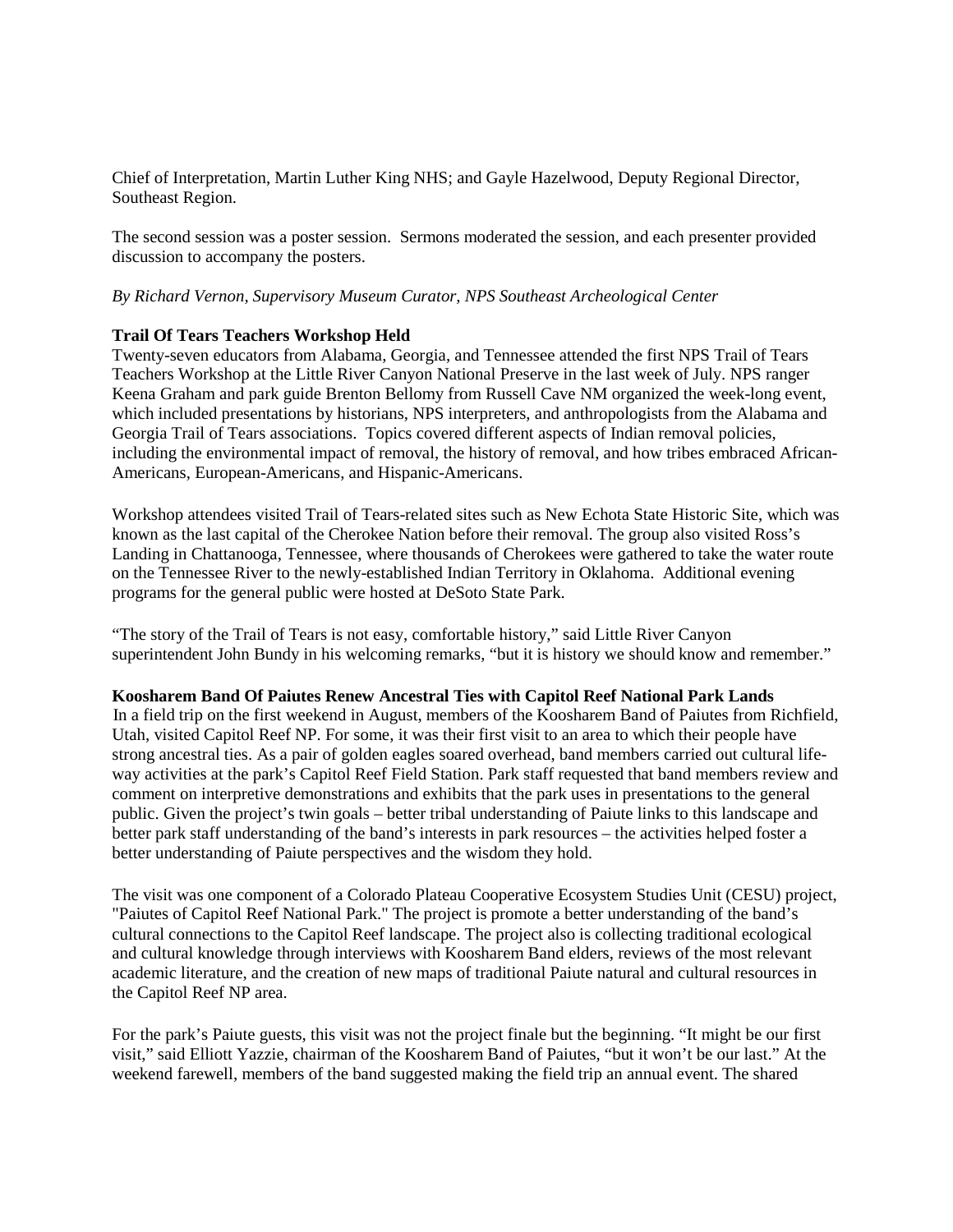Chief of Interpretation, Martin Luther King NHS; and Gayle Hazelwood, Deputy Regional Director, Southeast Region.

The second session was a poster session. Sermons moderated the session, and each presenter provided discussion to accompany the posters.

### *By Richard Vernon, Supervisory Museum Curator, NPS Southeast Archeological Center*

### **Trail Of Tears Teachers Workshop Held**

Twenty-seven educators from Alabama, Georgia, and Tennessee attended the first NPS Trail of Tears Teachers Workshop at the Little River Canyon National Preserve in the last week of July. NPS ranger Keena Graham and park guide Brenton Bellomy from Russell Cave NM organized the week-long event, which included presentations by historians, NPS interpreters, and anthropologists from the Alabama and Georgia Trail of Tears associations. Topics covered different aspects of Indian removal policies, including the environmental impact of removal, the history of removal, and how tribes embraced African-Americans, European-Americans, and Hispanic-Americans.

Workshop attendees visited Trail of Tears-related sites such as New Echota State Historic Site, which was known as the last capital of the Cherokee Nation before their removal. The group also visited Ross's Landing in Chattanooga, Tennessee, where thousands of Cherokees were gathered to take the water route on the Tennessee River to the newly-established Indian Territory in Oklahoma. Additional evening programs for the general public were hosted at DeSoto State Park.

"The story of the Trail of Tears is not easy, comfortable history," said Little River Canyon superintendent John Bundy in his welcoming remarks, "but it is history we should know and remember."

### **Koosharem Band Of Paiutes Renew Ancestral Ties with Capitol Reef National Park Lands**

In a field trip on the first weekend in August, members of the Koosharem Band of Paiutes from Richfield, Utah, visited Capitol Reef NP. For some, it was their first visit to an area to which their people have strong ancestral ties. As a pair of golden eagles soared overhead, band members carried out cultural lifeway activities at the park's Capitol Reef Field Station. Park staff requested that band members review and comment on interpretive demonstrations and exhibits that the park uses in presentations to the general public. Given the project's twin goals – better tribal understanding of Paiute links to this landscape and better park staff understanding of the band's interests in park resources – the activities helped foster a better understanding of Paiute perspectives and the wisdom they hold.

The visit was one component of a Colorado Plateau Cooperative Ecosystem Studies Unit (CESU) project, "Paiutes of Capitol Reef National Park." The project is promote a better understanding of the band's cultural connections to the Capitol Reef landscape. The project also is collecting traditional ecological and cultural knowledge through interviews with Koosharem Band elders, reviews of the most relevant academic literature, and the creation of new maps of traditional Paiute natural and cultural resources in the Capitol Reef NP area.

For the park's Paiute guests, this visit was not the project finale but the beginning. "It might be our first visit," said Elliott Yazzie, chairman of the Koosharem Band of Paiutes, "but it won't be our last." At the weekend farewell, members of the band suggested making the field trip an annual event. The shared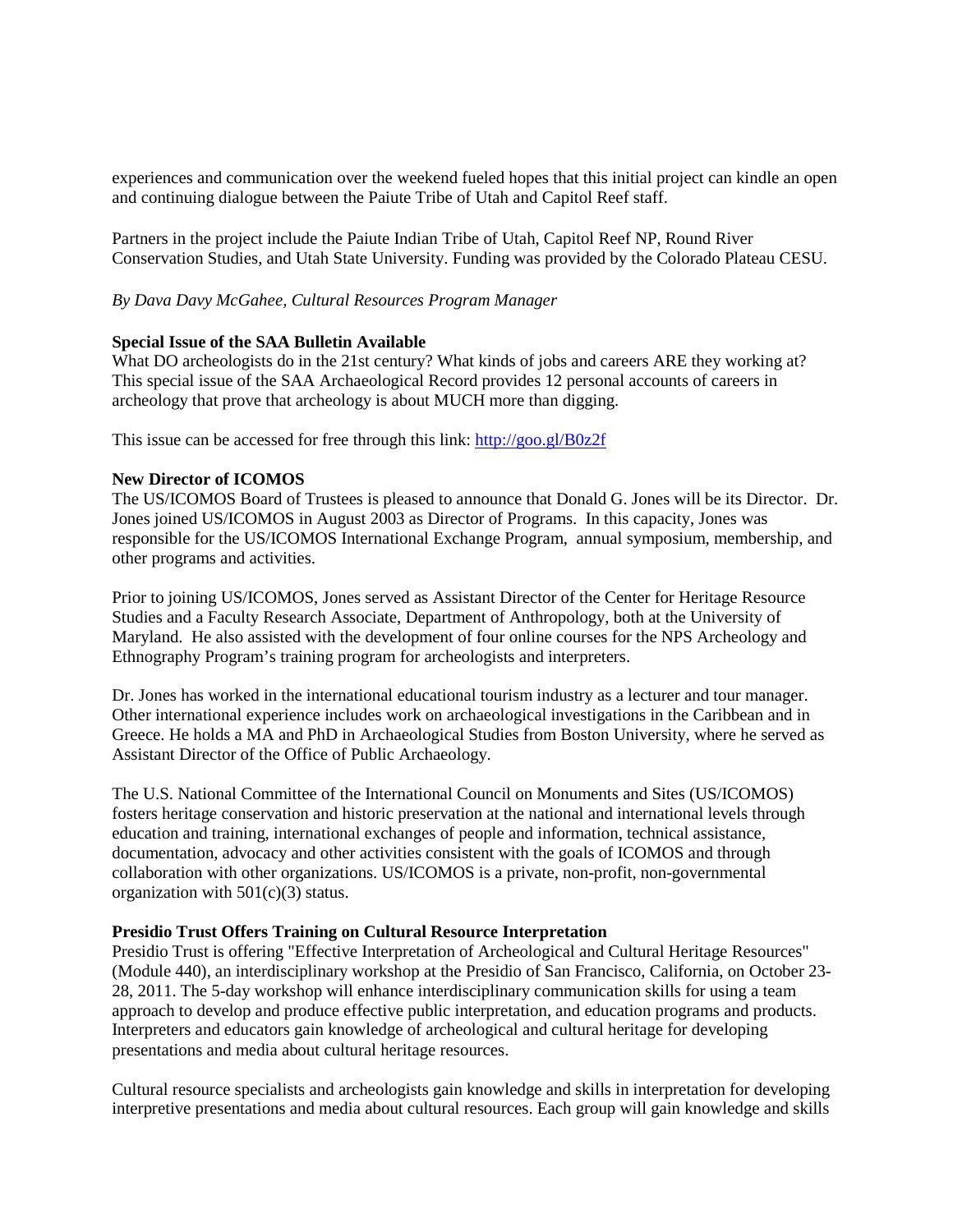experiences and communication over the weekend fueled hopes that this initial project can kindle an open and continuing dialogue between the Paiute Tribe of Utah and Capitol Reef staff.

Partners in the project include the Paiute Indian Tribe of Utah, Capitol Reef NP, Round River Conservation Studies, and Utah State University. Funding was provided by the Colorado Plateau CESU.

*By Dava Davy McGahee, Cultural Resources Program Manager*

### **Special Issue of the SAA Bulletin Available**

What DO archeologists do in the 21st century? What kinds of jobs and careers ARE they working at? This special issue of the SAA Archaeological Record provides 12 personal accounts of careers in archeology that prove that archeology is about MUCH more than digging.

This issue can be accessed for free through this link: [http://goo.gl/B0z2f](http://www.linkedin.com/redirect?url=http%3A%2F%2Fgoo%2Egl%2FB0z2f&urlhash=Nkc8&_t=tracking_anet_)

### **New Director of ICOMOS**

The US/ICOMOS Board of Trustees is pleased to announce that Donald G. Jones will be its Director. Dr. Jones joined US/ICOMOS in August 2003 as Director of Programs. In this capacity, Jones was responsible for the US/ICOMOS International Exchange Program, annual symposium, membership, and other programs and activities.

Prior to joining US/ICOMOS, Jones served as Assistant Director of the Center for Heritage Resource Studies and a Faculty Research Associate, Department of Anthropology, both at the University of Maryland. He also assisted with the development of four online courses for the NPS Archeology and Ethnography Program's training program for archeologists and interpreters.

Dr. Jones has worked in the international educational tourism industry as a lecturer and tour manager. Other international experience includes work on archaeological investigations in the Caribbean and in Greece. He holds a MA and PhD in Archaeological Studies from Boston University, where he served as Assistant Director of the Office of Public Archaeology.

The U.S. National Committee of the International Council on Monuments and Sites (US/ICOMOS) fosters heritage conservation and historic preservation at the national and international levels through education and training, international exchanges of people and information, technical assistance, documentation, advocacy and other activities consistent with the goals of ICOMOS and through collaboration with other organizations. US/ICOMOS is a private, non-profit, non-governmental organization with  $501(c)(3)$  status.

### **Presidio Trust Offers Training on Cultural Resource Interpretation**

Presidio Trust is offering "Effective Interpretation of Archeological and Cultural Heritage Resources" (Module 440), an interdisciplinary workshop at the Presidio of San Francisco, California, on October 23- 28, 2011. The 5-day workshop will enhance interdisciplinary communication skills for using a team approach to develop and produce effective public interpretation, and education programs and products. Interpreters and educators gain knowledge of archeological and cultural heritage for developing presentations and media about cultural heritage resources.

Cultural resource specialists and archeologists gain knowledge and skills in interpretation for developing interpretive presentations and media about cultural resources. Each group will gain knowledge and skills